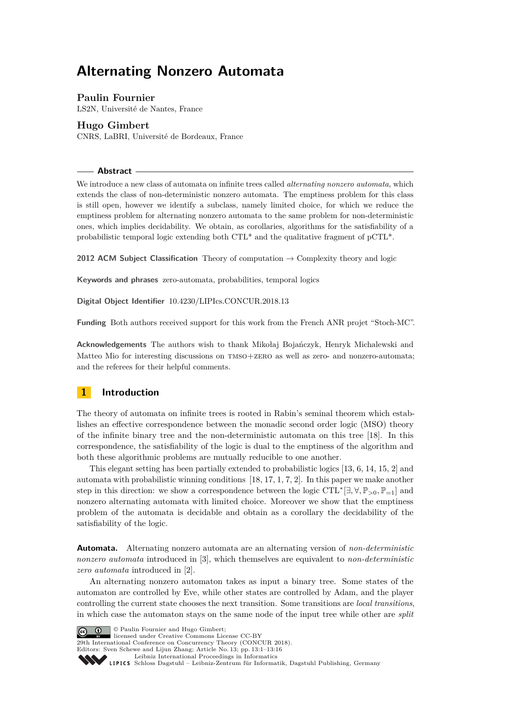# **Alternating Nonzero Automata**

# **Paulin Fournier**

LS2N, Université de Nantes, France

# **Hugo Gimbert**

CNRS, LaBRI, Université de Bordeaux, France

**Abstract**

We introduce a new class of automata on infinite trees called *alternating nonzero automata*, which extends the class of non-deterministic nonzero automata. The emptiness problem for this class is still open, however we identify a subclass, namely limited choice, for which we reduce the emptiness problem for alternating nonzero automata to the same problem for non-deterministic ones, which implies decidability. We obtain, as corollaries, algorithms for the satisfiability of a probabilistic temporal logic extending both CTL\* and the qualitative fragment of pCTL\*.

**2012 ACM Subject Classification** Theory of computation → Complexity theory and logic

**Keywords and phrases** zero-automata, probabilities, temporal logics

**Digital Object Identifier** [10.4230/LIPIcs.CONCUR.2018.13](http://dx.doi.org/10.4230/LIPIcs.CONCUR.2018.13)

**Funding** Both authors received support for this work from the French ANR projet "Stoch-MC".

**Acknowledgements** The authors wish to thank Mikołaj Bojańczyk, Henryk Michalewski and Matteo Mio for interesting discussions on tmso+zero as well as zero- and nonzero-automata; and the referees for their helpful comments.

# **1 Introduction**

The theory of automata on infinite trees is rooted in Rabin's seminal theorem which establishes an effective correspondence between the monadic second order logic (MSO) theory of the infinite binary tree and the non-deterministic automata on this tree [\[18\]](#page-15-0). In this correspondence, the satisfiability of the logic is dual to the emptiness of the algorithm and both these algorithmic problems are mutually reducible to one another.

This elegant setting has been partially extended to probabilistic logics [\[13,](#page-15-1) [6,](#page-15-2) [14,](#page-15-3) [15,](#page-15-4) [2\]](#page-14-0) and automata with probabilistic winning conditions [\[18,](#page-15-0) [17,](#page-15-5) [1,](#page-14-1) [7,](#page-15-6) [2\]](#page-14-0). In this paper we make another step in this direction: we show a correspondence between the logic CTL<sup>∗</sup> [∃*,* ∀*,* P*>*0*,* P=1] and nonzero alternating automata with limited choice. Moreover we show that the emptiness problem of the automata is decidable and obtain as a corollary the decidability of the satisfiability of the logic.

**Automata.** Alternating nonzero automata are an alternating version of *non-deterministic nonzero automata* introduced in [\[3\]](#page-14-2), which themselves are equivalent to *non-deterministic zero automata* introduced in [\[2\]](#page-14-0).

An alternating nonzero automaton takes as input a binary tree. Some states of the automaton are controlled by Eve, while other states are controlled by Adam, and the player controlling the current state chooses the next transition. Some transitions are *local transitions*, in which case the automaton stays on the same node of the input tree while other are *split*



© Paulin Fournier and Hugo Gimbert;

licensed under Creative Commons License CC-BY

29th International Conference on Concurrency Theory (CONCUR 2018).

Editors: Sven Schewe and Lijun Zhang; Article No. 13; pp. 13:1–13[:16](#page-15-7) [Leibniz International Proceedings in Informatics](http://www.dagstuhl.de/lipics/)

Leibniz international ruse einigs in missimosischen Publishing, Germany<br>LIPICS [Schloss Dagstuhl – Leibniz-Zentrum für Informatik, Dagstuhl Publishing, Germany](http://www.dagstuhl.de)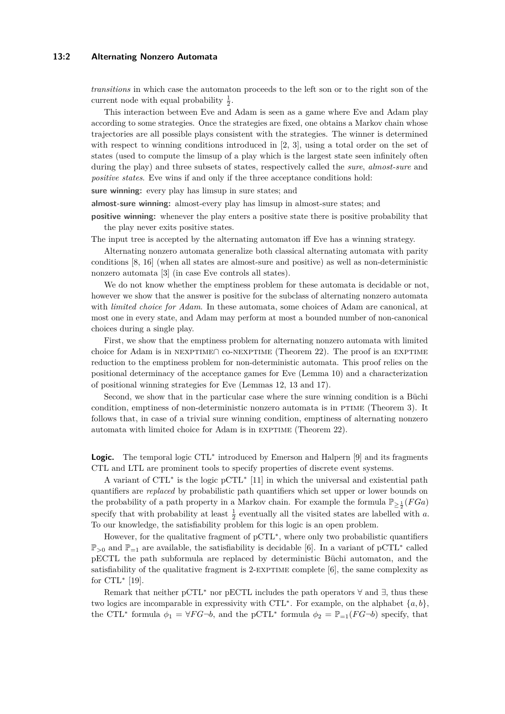## **13:2 Alternating Nonzero Automata**

*transitions* in which case the automaton proceeds to the left son or to the right son of the current node with equal probability  $\frac{1}{2}$ .

This interaction between Eve and Adam is seen as a game where Eve and Adam play according to some strategies. Once the strategies are fixed, one obtains a Markov chain whose trajectories are all possible plays consistent with the strategies. The winner is determined with respect to winning conditions introduced in [\[2,](#page-14-0) [3\]](#page-14-2), using a total order on the set of states (used to compute the limsup of a play which is the largest state seen infinitely often during the play) and three subsets of states, respectively called the *sure*, *almost-sure* and *positive states*. Eve wins if and only if the three acceptance conditions hold:

**sure winning:** every play has limsup in sure states; and

**almost-sure winning:** almost-every play has limsup in almost-sure states; and

positive winning: whenever the play enters a positive state there is positive probability that the play never exits positive states.

The input tree is accepted by the alternating automaton iff Eve has a winning strategy.

Alternating nonzero automata generalize both classical alternating automata with parity conditions [\[8,](#page-15-8) [16\]](#page-15-9) (when all states are almost-sure and positive) as well as non-deterministic nonzero automata [\[3\]](#page-14-2) (in case Eve controls all states).

We do not know whether the emptiness problem for these automata is decidable or not, however we show that the answer is positive for the subclass of alternating nonzero automata with *limited choice for Adam*. In these automata, some choices of Adam are canonical, at most one in every state, and Adam may perform at most a bounded number of non-canonical choices during a single play.

First, we show that the emptiness problem for alternating nonzero automata with limited choice for Adam is in NEXPTIME∩ co-NEXPTIME (Theorem [22\)](#page-12-0). The proof is an EXPTIME reduction to the emptiness problem for non-deterministic automata. This proof relies on the positional determinacy of the acceptance games for Eve (Lemma [10\)](#page-8-0) and a characterization of positional winning strategies for Eve (Lemmas [12,](#page-8-1) [13](#page-9-0) and [17\)](#page-10-0).

Second, we show that in the particular case where the sure winning condition is a Büchi condition, emptiness of non-deterministic nonzero automata is in PTIME (Theorem [3\)](#page-5-0). It follows that, in case of a trivial sure winning condition, emptiness of alternating nonzero automata with limited choice for Adam is in EXPTIME (Theorem [22\)](#page-12-0).

Logic. The temporal logic CTL<sup>\*</sup> introduced by Emerson and Halpern [\[9\]](#page-15-10) and its fragments CTL and LTL are prominent tools to specify properties of discrete event systems.

A variant of CTL<sup>∗</sup> is the logic pCTL<sup>∗</sup> [\[11\]](#page-15-11) in which the universal and existential path quantifiers are *replaced* by probabilistic path quantifiers which set upper or lower bounds on the probability of a path property in a Markov chain. For example the formula  $\mathbb{P}_{\geq \frac{1}{2}}(FGa)$ specify that with probability at least  $\frac{1}{2}$  eventually all the visited states are labelled with *a*. To our knowledge, the satisfiability problem for this logic is an open problem.

However, for the qualitative fragment of pCTL<sup>∗</sup> , where only two probabilistic quantifiers P<sub>>0</sub> and P<sub>=1</sub> are available, the satisfiability is decidable [\[6\]](#page-15-2). In a variant of pCTL<sup>\*</sup> called pECTL the path subformula are replaced by deterministic Büchi automaton, and the satisfiability of the qualitative fragment is  $2$ -EXPTIME complete  $[6]$ , the same complexity as for  $\text{CTL}^*$  [\[19\]](#page-15-12).

Remark that neither pCTL<sup>∗</sup> nor pECTL includes the path operators  $\forall$  and  $\exists$ , thus these two logics are incomparable in expressivity with CTL<sup>\*</sup>. For example, on the alphabet  $\{a, b\}$ , the CTL<sup>\*</sup> formula  $\phi_1 = \forall FG \neg b$ , and the pCTL<sup>\*</sup> formula  $\phi_2 = \mathbb{P}_{=1}(FG \neg b)$  specify, that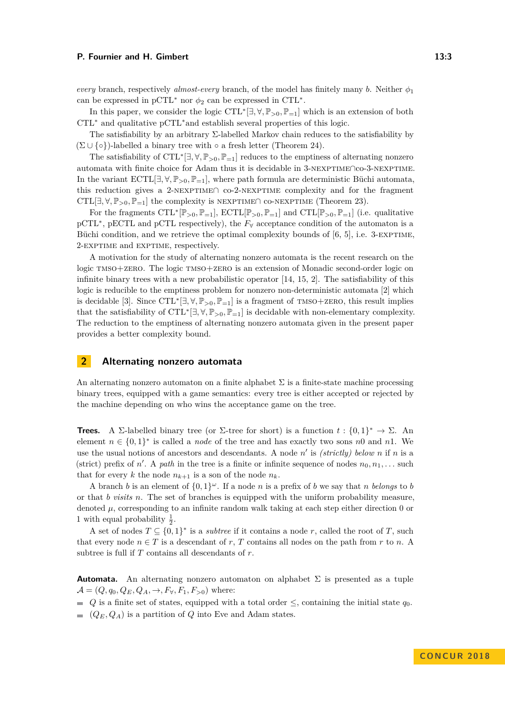*every* branch, respectively *almost-every* branch, of the model has finitely many *b*. Neither  $\phi_1$ can be expressed in  $pCTL^*$  nor  $\phi_2$  can be expressed in CTL<sup>\*</sup>.

In this paper, we consider the logic  $\text{CTL}^*[\exists, \forall, \mathbb{P}_{>0}, \mathbb{P}_{=1}]$  which is an extension of both CTL<sup>∗</sup> and qualitative pCTL∗and establish several properties of this logic.

The satisfiability by an arbitrary Σ-labelled Markov chain reduces to the satisfiability by  $(\Sigma \cup \{ \circ \})$ -labelled a binary tree with  $\circ$  a fresh letter (Theorem [24\)](#page-14-3).

The satisfiability of CTL<sup>\*</sup>[∃,∀, P<sub>>0</sub>, P<sub>=1</sub>] reduces to the emptiness of alternating nonzero automata with finite choice for Adam thus it is decidable in 3-nexptime∩co-3-nexptime. In the variant  $ECTL[\exists, \forall, \mathbb{P}_{>0}, \mathbb{P}_{=1}]$ , where path formula are deterministic Büchi automata, this reduction gives a 2-nexptime∩ co-2-nexptime complexity and for the fragment CTL[ $\exists$ ,  $\forall$ ,  $\mathbb{P}_{>0}$ ,  $\mathbb{P}_{=1}$ ] the complexity is NEXPTIME∩ co-NEXPTIME (Theorem [23\)](#page-13-0).

For the fragments  $\text{CTL}^*[\mathbb{P}_{>0}, \mathbb{P}_{=1}]$ ,  $\text{ECTL}[\mathbb{P}_{>0}, \mathbb{P}_{=1}]$  and  $\text{CTL}[\mathbb{P}_{>0}, \mathbb{P}_{=1}]$  (i.e. qualitative pCTL<sup>∗</sup>, pECTL and pCTL respectively), the  $F<sub>∀</sub>$  acceptance condition of the automaton is a Büchi condition, and we retrieve the optimal complexity bounds of [\[6,](#page-15-2) [5\]](#page-14-4), i.e. 3-EXPTIME, 2-exptime and exptime, respectively.

A motivation for the study of alternating nonzero automata is the recent research on the logic tmso+zero. The logic tmso+zero is an extension of Monadic second-order logic on infinite binary trees with a new probabilistic operator  $[14, 15, 2]$  $[14, 15, 2]$  $[14, 15, 2]$  $[14, 15, 2]$  $[14, 15, 2]$ . The satisfiability of this logic is reducible to the emptiness problem for nonzero non-deterministic automata [\[2\]](#page-14-0) which is decidable [\[3\]](#page-14-2). Since  $\text{CTL}^*[\exists, \forall, \mathbb{P}_{>0}, \mathbb{P}_{=1}]$  is a fragment of  $\text{TMSO}+ \text{ZERO},$  this result implies that the satisfiability of  $\text{CTL}^*[\exists, \forall, \mathbb{P}_{>0}, \mathbb{P}_{=1}]$  is decidable with non-elementary complexity. The reduction to the emptiness of alternating nonzero automata given in the present paper provides a better complexity bound.

# **2 Alternating nonzero automata**

An alternating nonzero automaton on a finite alphabet  $\Sigma$  is a finite-state machine processing binary trees, equipped with a game semantics: every tree is either accepted or rejected by the machine depending on who wins the acceptance game on the tree.

**Trees.** A Σ-labelled binary tree (or Σ-tree for short) is a function  $t : \{0,1\}^* \to \Sigma$ . An element  $n \in \{0,1\}^*$  is called a *node* of the tree and has exactly two sons *n*0 and *n*1. We use the usual notions of ancestors and descendants. A node  $n'$  is *(strictly) below*  $n$  if  $n$  is a (strict) prefix of *n'*. A *path* in the tree is a finite or infinite sequence of nodes  $n_0, n_1, \ldots$  such that for every k the node  $n_{k+1}$  is a son of the node  $n_k$ .

A branch *b* is an element of  $\{0,1\}^{\omega}$ . If a node *n* is a prefix of *b* we say that *n* belongs to *b* or that *b visits n*. The set of branches is equipped with the uniform probability measure, denoted  $\mu$ , corresponding to an infinite random walk taking at each step either direction 0 or 1 with equal probability  $\frac{1}{2}$ .

A set of nodes  $T \subseteq \{0,1\}^*$  is a *subtree* if it contains a node *r*, called the root of *T*, such that every node  $n \in T$  is a descendant of *r*, *T* contains all nodes on the path from *r* to *n*. A subtree is full if *T* contains all descendants of *r*.

**Automata.** An alternating nonzero automaton on alphabet  $\Sigma$  is presented as a tuple  $\mathcal{A} = (Q, q_0, Q_E, Q_A, \rightarrow, F_{\forall}, F_1, F_{>0})$  where:

 $Q$  is a finite set of states, equipped with a total order ≤, containing the initial state  $q_0$ .

 $(Q_E, Q_A)$  is a partition of *Q* into Eve and Adam states.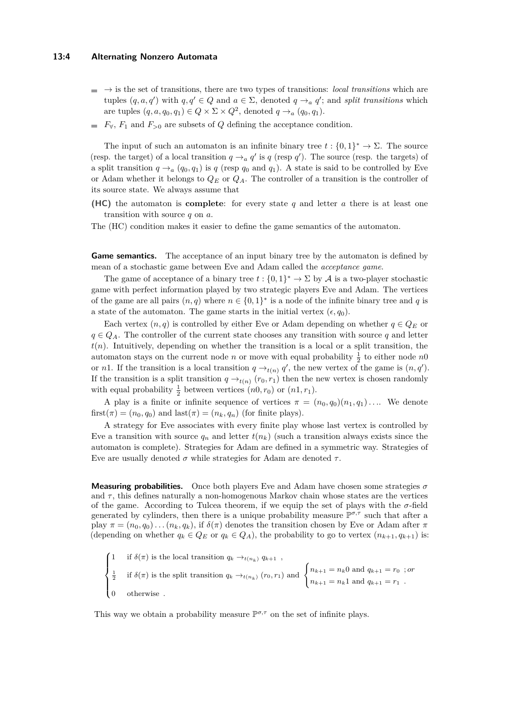### **13:4 Alternating Nonzero Automata**

- $\Rightarrow$  is the set of transitions, there are two types of transitions: *local transitions* which are tuples  $(q, a, q')$  with  $q, q' \in Q$  and  $a \in \Sigma$ , denoted  $q \rightarrow_a q'$ ; and *split transitions* which are tuples  $(q, a, q_0, q_1) \in Q \times \Sigma \times Q^2$ , denoted  $q \to_a (q_0, q_1)$ .
- $\blacksquare$  *F*<sub> $\forall$ </sub>, *F*<sub>1</sub> and *F*<sub>>0</sub> are subsets of *Q* defining the acceptance condition.

The input of such an automaton is an infinite binary tree  $t: \{0,1\}^* \to \Sigma$ . The source (resp. the target) of a local transition  $q \rightarrow_a q'$  is q (resp q'). The source (resp. the targets) of a split transition  $q \rightarrow a$  ( $q_0, q_1$ ) is  $q$  (resp  $q_0$  and  $q_1$ ). A state is said to be controlled by Eve or Adam whether it belongs to *Q<sup>E</sup>* or *QA*. The controller of a transition is the controller of its source state. We always assume that

- **(HC)** the automaton is **complete**: for every state *q* and letter *a* there is at least one transition with source *q* on *a*.
- The (HC) condition makes it easier to define the game semantics of the automaton.

**Game semantics.** The acceptance of an input binary tree by the automaton is defined by mean of a stochastic game between Eve and Adam called the *acceptance game*.

The game of acceptance of a binary tree  $t: \{0,1\}^* \to \Sigma$  by A is a two-player stochastic game with perfect information played by two strategic players Eve and Adam. The vertices of the game are all pairs  $(n, q)$  where  $n \in \{0, 1\}^*$  is a node of the infinite binary tree and q is a state of the automaton. The game starts in the initial vertex  $(\epsilon, q_0)$ .

Each vertex  $(n, q)$  is controlled by either Eve or Adam depending on whether  $q \in Q_E$  or  $q \in Q_A$ . The controller of the current state chooses any transition with source *q* and letter  $t(n)$ . Intuitively, depending on whether the transition is a local or a split transition, the automaton stays on the current node *n* or move with equal probability  $\frac{1}{2}$  to either node *n*0 or *n*1. If the transition is a local transition  $q \rightarrow_{t(n)} q'$ , the new vertex of the game is  $(n, q')$ . If the transition is a split transition  $q \rightarrow_{t(n)} (r_0, r_1)$  then the new vertex is chosen randomly with equal probability  $\frac{1}{2}$  between vertices  $(n0, r_0)$  or  $(n1, r_1)$ .

A play is a finite or infinite sequence of vertices  $\pi = (n_0, q_0)(n_1, q_1) \dots$  We denote  $first(\pi) = (n_0, q_0)$  and  $last(\pi) = (n_k, q_n)$  (for finite plays).

A strategy for Eve associates with every finite play whose last vertex is controlled by Eve a transition with source  $q_n$  and letter  $t(n_k)$  (such a transition always exists since the automaton is complete). Strategies for Adam are defined in a symmetric way. Strategies of Eve are usually denoted  $\sigma$  while strategies for Adam are denoted  $\tau$ .

**Measuring probabilities.** Once both players Eve and Adam have chosen some strategies *σ* and  $\tau$ , this defines naturally a non-homogenous Markov chain whose states are the vertices of the game. According to Tulcea theorem, if we equip the set of plays with the  $\sigma$ -field generated by cylinders, then there is a unique probability measure  $\mathbb{P}^{\sigma,\tau}$  such that after a play  $\pi = (n_0, q_0) \dots (n_k, q_k)$ , if  $\delta(\pi)$  denotes the transition chosen by Eve or Adam after  $\pi$ (depending on whether  $q_k \in Q_E$  or  $q_k \in Q_A$ ), the probability to go to vertex  $(n_{k+1}, q_{k+1})$  is:

$$
\begin{cases}\n1 & \text{if } \delta(\pi) \text{ is the local transition } q_k \to_{t(n_k)} q_{k+1} , \\
\frac{1}{2} & \text{if } \delta(\pi) \text{ is the split transition } q_k \to_{t(n_k)} (r_0, r_1) \text{ and } \begin{cases}\nn_{k+1} = n_k 0 \text{ and } q_{k+1} = r_0 \text{ ; } or \\
n_{k+1} = n_k 1 \text{ and } q_{k+1} = r_1 .\n\end{cases}
$$
\n
$$
0 & \text{otherwise.}
$$

This way we obtain a probability measure  $\mathbb{P}^{\sigma,\tau}$  on the set of infinite plays.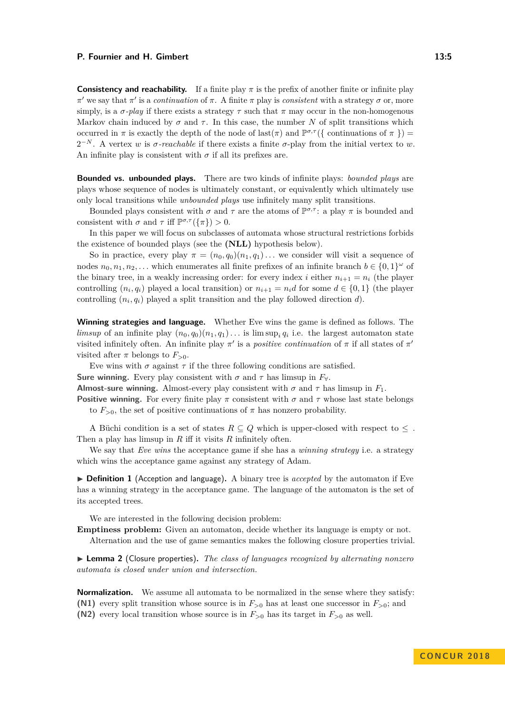**Consistency and reachability.** If a finite play  $\pi$  is the prefix of another finite or infinite play  $π'$  we say that  $π'$  is a *continuation* of  $π$ . A finite  $π$  play is *consistent* with a strategy  $σ$  or, more simply, is a  $\sigma$ -*play* if there exists a strategy  $\tau$  such that  $\pi$  may occur in the non-homogenous Markov chain induced by  $\sigma$  and  $\tau$ . In this case, the number N of split transitions which occurred in  $\pi$  is exactly the depth of the node of last( $\pi$ ) and  $\mathbb{P}^{\sigma,\tau}(\{\text{continuous of }\pi\})$  $2^{-N}$ . A vertex *w* is *σ*-reachable if there exists a finite *σ*-play from the initial vertex to *w*. An infinite play is consistent with  $\sigma$  if all its prefixes are.

**Bounded vs. unbounded plays.** There are two kinds of infinite plays: *bounded plays* are plays whose sequence of nodes is ultimately constant, or equivalently which ultimately use only local transitions while *unbounded plays* use infinitely many split transitions.

Bounded plays consistent with  $\sigma$  and  $\tau$  are the atoms of  $\mathbb{P}^{\sigma,\tau}$ : a play  $\pi$  is bounded and consistent with  $\sigma$  and  $\tau$  iff  $\mathbb{P}^{\sigma,\tau}(\{\pi\}) > 0$ .

In this paper we will focus on subclasses of automata whose structural restrictions forbids the existence of bounded plays (see the **(NLL)** hypothesis below).

So in practice, every play  $\pi = (n_0, q_0)(n_1, q_1) \dots$  we consider will visit a sequence of nodes  $n_0, n_1, n_2, \ldots$  which enumerates all finite prefixes of an infinite branch  $b \in \{0, 1\}^\omega$  of the binary tree, in a weakly increasing order: for every index *i* either  $n_{i+1} = n_i$  (the player controlling  $(n_i, q_i)$  played a local transition) or  $n_{i+1} = n_i d$  for some  $d \in \{0, 1\}$  (the player controlling  $(n_i, q_i)$  played a split transition and the play followed direction *d*).

**Winning strategies and language.** Whether Eve wins the game is defined as follows. The *limsup* of an infinite play  $(n_0, q_0)(n_1, q_1) \ldots$  is limsup<sub>i</sub>  $q_i$  i.e. the largest automaton state visited infinitely often. An infinite play  $\pi'$  is a *positive continuation* of  $\pi$  if all states of  $\pi'$ visited after  $\pi$  belongs to  $F_{>0}$ .

Eve wins with  $\sigma$  against  $\tau$  if the three following conditions are satisfied.

**Sure winning.** Every play consistent with  $\sigma$  and  $\tau$  has limsup in  $F_{\forall}$ .

**Almost-sure winning.** Almost-every play consistent with  $\sigma$  and  $\tau$  has limsup in  $F_1$ .

**Positive winning.** For every finite play  $\pi$  consistent with  $\sigma$  and  $\tau$  whose last state belongs to  $F_{>0}$ , the set of positive continuations of  $\pi$  has nonzero probability.

A Büchi condition is a set of states  $R \subseteq Q$  which is upper-closed with respect to  $\leq$ . Then a play has limsup in *R* iff it visits *R* infinitely often.

We say that *Eve wins* the acceptance game if she has a *winning strategy* i.e. a strategy which wins the acceptance game against any strategy of Adam.

▶ **Definition 1** (Acception and language). A binary tree is *accepted* by the automaton if Eve has a winning strategy in the acceptance game. The language of the automaton is the set of its accepted trees.

We are interested in the following decision problem:

**Emptiness problem:** Given an automaton, decide whether its language is empty or not. Alternation and the use of game semantics makes the following closure properties trivial.

<span id="page-4-0"></span>I **Lemma 2** (Closure properties)**.** *The class of languages recognized by alternating nonzero automata is closed under union and intersection.*

**Normalization.** We assume all automata to be normalized in the sense where they satisfy: **(N1)** every split transition whose source is in  $F_{>0}$  has at least one successor in  $F_{>0}$ ; and **(N2)** every local transition whose source is in  $F_{>0}$  has its target in  $F_{>0}$  as well.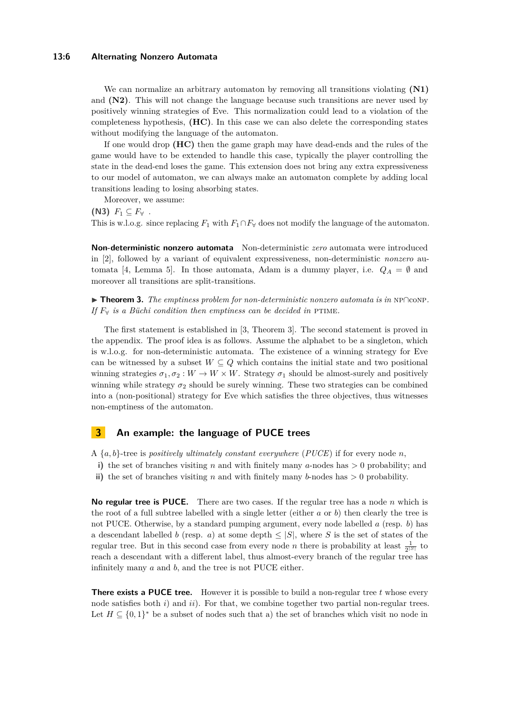## **13:6 Alternating Nonzero Automata**

We can normalize an arbitrary automaton by removing all transitions violating **(N1)** and **(N2)**. This will not change the language because such transitions are never used by positively winning strategies of Eve. This normalization could lead to a violation of the completeness hypothesis, **(HC)**. In this case we can also delete the corresponding states without modifying the language of the automaton.

If one would drop **(HC)** then the game graph may have dead-ends and the rules of the game would have to be extended to handle this case, typically the player controlling the state in the dead-end loses the game. This extension does not bring any extra expressiveness to our model of automaton, we can always make an automaton complete by adding local transitions leading to losing absorbing states.

Moreover, we assume:

**(N3)**  $F_1$  ⊂  $F_7$ . This is w.l.o.g. since replacing  $F_1$  with  $F_1 \cap F_\forall$  does not modify the language of the automaton.

**Non-deterministic nonzero automata** Non-deterministic *zero* automata were introduced in [\[2\]](#page-14-0), followed by a variant of equivalent expressiveness, non-deterministic *nonzero* au-tomata [\[4,](#page-14-5) Lemma 5]. In those automata, Adam is a dummy player, i.e.  $Q_A = \emptyset$  and moreover all transitions are split-transitions.

<span id="page-5-0"></span>I **Theorem 3.** *The emptiness problem for non-deterministic nonzero automata is in* np∩conp*. If*  $F_\forall$  *is a Büchi condition then emptiness can be decided in* PTIME.

The first statement is established in [\[3,](#page-14-2) Theorem 3]. The second statement is proved in the appendix. The proof idea is as follows. Assume the alphabet to be a singleton, which is w.l.o.g. for non-deterministic automata. The existence of a winning strategy for Eve can be witnessed by a subset  $W \subseteq Q$  which contains the initial state and two positional winning strategies  $\sigma_1, \sigma_2 : W \to W \times W$ . Strategy  $\sigma_1$  should be almost-surely and positively winning while strategy  $\sigma_2$  should be surely winning. These two strategies can be combined into a (non-positional) strategy for Eve which satisfies the three objectives, thus witnesses non-emptiness of the automaton.

# <span id="page-5-1"></span>**3 An example: the language of PUCE trees**

A {*a, b*}-tree is *positively ultimately constant everywhere* (*PUCE*) if for every node *n*,

- **i)** the set of branches visiting *n* and with finitely many *a*-nodes has *>* 0 probability; and
- **ii)** the set of branches visiting *n* and with finitely many *b*-nodes has *>* 0 probability.

**No regular tree is PUCE.** There are two cases. If the regular tree has a node *n* which is the root of a full subtree labelled with a single letter (either *a* or *b*) then clearly the tree is not PUCE. Otherwise, by a standard pumping argument, every node labelled *a* (resp. *b*) has a descendant labelled *b* (resp. *a*) at some depth  $\leq |S|$ , where *S* is the set of states of the regular tree. But in this second case from every node *n* there is probability at least  $\frac{1}{2^{|S|}}$  to reach a descendant with a different label, thus almost-every branch of the regular tree has infinitely many *a* and *b*, and the tree is not PUCE either.

**There exists a PUCE tree.** However it is possible to build a non-regular tree t whose every node satisfies both *i*) and *ii*). For that, we combine together two partial non-regular trees. Let  $H \subseteq \{0,1\}^*$  be a subset of nodes such that a) the set of branches which visit no node in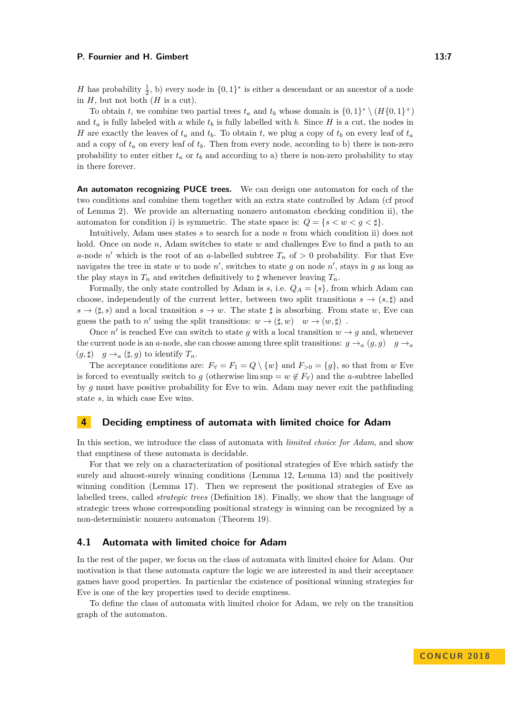*H* has probability  $\frac{1}{2}$ , b) every node in  $\{0,1\}^*$  is either a descendant or an ancestor of a node in  $H$ , but not both  $(H$  is a cut).

To obtain *t*, we combine two partial trees  $t_a$  and  $t_b$  whose domain is  $\{0,1\}^* \setminus (H\{0,1\}^+)$ and  $t_a$  is fully labeled with *a* while  $t_b$  is fully labelled with *b*. Since *H* is a cut, the nodes in *H* are exactly the leaves of  $t_a$  and  $t_b$ . To obtain  $t$ , we plug a copy of  $t_b$  on every leaf of  $t_a$ and a copy of  $t_a$  on every leaf of  $t_b$ . Then from every node, according to b) there is non-zero probability to enter either  $t_a$  or  $t_b$  and according to a) there is non-zero probability to stay in there forever.

**An automaton recognizing PUCE trees.** We can design one automaton for each of the two conditions and combine them together with an extra state controlled by Adam (cf proof of Lemma [2\)](#page-4-0). We provide an alternating nonzero automaton checking condition ii), the automaton for condition i) is symmetric. The state space is:  $Q = \{s < w < g < \sharp\}.$ 

Intuitively, Adam uses states *s* to search for a node *n* from which condition ii) does not hold. Once on node *n*, Adam switches to state *w* and challenges Eve to find a path to an *a*-node *n*<sup>'</sup> which is the root of an *a*-labelled subtree  $T_n$  of  $> 0$  probability. For that Eve navigates the tree in state  $w$  to node  $n'$ , switches to state  $g$  on node  $n'$ , stays in  $g$  as long as the play stays in  $T_n$  and switches definitively to  $\sharp$  whenever leaving  $T_n$ .

Formally, the only state controlled by Adam is *s*, i.e.  $Q_A = \{s\}$ , from which Adam can choose, independently of the current letter, between two split transitions  $s \to (s, \sharp)$  and  $s \to (\sharp, s)$  and a local transition  $s \to w$ . The state  $\sharp$  is absorbing. From state *w*, Eve can guess the path to *n'* using the split transitions:  $w \to (\sharp, w)$   $w \to (w, \sharp)$ .

Once *n'* is reached Eve can switch to state *g* with a local transition  $w \rightarrow g$  and, whenever the current node is an *a*-node, she can choose among three split transitions:  $g \rightarrow_a (g, g)$   $g \rightarrow_a$  $(g, \sharp)$   $g \to_a (\sharp, g)$  to identify  $T_n$ .

The acceptance conditions are:  $F_\forall = F_1 = Q \setminus \{w\}$  and  $F_{>0} = \{g\}$ , so that from *w* Eve is forced to eventually switch to *g* (otherwise lim sup =  $w \notin F_Y$ ) and the *a*-subtree labelled by *g* must have positive probability for Eve to win. Adam may never exit the pathfinding state *s*, in which case Eve wins.

# **4 Deciding emptiness of automata with limited choice for Adam**

In this section, we introduce the class of automata with *limited choice for Adam*, and show that emptiness of these automata is decidable.

For that we rely on a characterization of positional strategies of Eve which satisfy the surely and almost-surely winning conditions (Lemma [12,](#page-8-1) Lemma [13\)](#page-9-0) and the positively winning condition (Lemma [17\)](#page-10-0). Then we represent the positional strategies of Eve as labelled trees, called *strategic trees* (Definition [18\)](#page-10-1). Finally, we show that the language of strategic trees whose corresponding positional strategy is winning can be recognized by a non-deterministic nonzero automaton (Theorem [19\)](#page-10-2).

# **4.1 Automata with limited choice for Adam**

In the rest of the paper, we focus on the class of automata with limited choice for Adam. Our motivation is that these automata capture the logic we are interested in and their acceptance games have good properties. In particular the existence of positional winning strategies for Eve is one of the key properties used to decide emptiness.

To define the class of automata with limited choice for Adam, we rely on the transition graph of the automaton.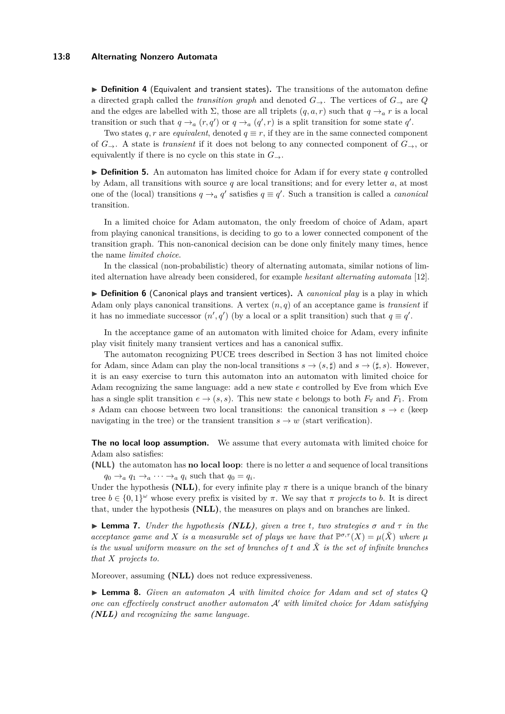#### **13:8 Alternating Nonzero Automata**

▶ Definition 4 (Equivalent and transient states). The transitions of the automaton define a directed graph called the *transition graph* and denoted  $G_{\rightarrow}$ . The vertices of  $G_{\rightarrow}$  are  $Q$ and the edges are labelled with  $\Sigma$ , those are all triplets  $(q, a, r)$  such that  $q \rightarrow_a r$  is a local transition or such that  $q \rightarrow_a (r, q')$  or  $q \rightarrow_a (q', r)$  is a split transition for some state  $q'$ .

Two states  $q, r$  are *equivalent*, denoted  $q \equiv r$ , if they are in the same connected component of  $G_{\rightarrow}$ . A state is *transient* if it does not belong to any connected component of  $G_{\rightarrow}$ , or equivalently if there is no cycle on this state in  $G_{\rightarrow}$ .

 $\triangleright$  **Definition 5.** An automaton has limited choice for Adam if for every state q controlled by Adam, all transitions with source *q* are local transitions; and for every letter *a*, at most one of the (local) transitions  $q \rightarrow_a q'$  satisfies  $q \equiv q'$ . Such a transition is called a *canonical* transition.

In a limited choice for Adam automaton, the only freedom of choice of Adam, apart from playing canonical transitions, is deciding to go to a lower connected component of the transition graph. This non-canonical decision can be done only finitely many times, hence the name *limited choice*.

In the classical (non-probabilistic) theory of alternating automata, similar notions of limited alternation have already been considered, for example *hesitant alternating automata* [\[12\]](#page-15-13).

▶ **Definition 6** (Canonical plays and transient vertices). A *canonical play* is a play in which Adam only plays canonical transitions. A vertex (*n, q*) of an acceptance game is *transient* if it has no immediate successor  $(n', q')$  (by a local or a split transition) such that  $q \equiv q'$ .

In the acceptance game of an automaton with limited choice for Adam, every infinite play visit finitely many transient vertices and has a canonical suffix.

The automaton recognizing PUCE trees described in Section [3](#page-5-1) has not limited choice for Adam, since Adam can play the non-local transitions  $s \to (s, \sharp)$  and  $s \to (\sharp, s)$ . However, it is an easy exercise to turn this automaton into an automaton with limited choice for Adam recognizing the same language: add a new state *e* controlled by Eve from which Eve has a single split transition  $e \rightarrow (s, s)$ . This new state *e* belongs to both  $F_\forall$  and  $F_1$ . From *s* Adam can choose between two local transitions: the canonical transition  $s \to e$  (keep navigating in the tree) or the transient transition  $s \to w$  (start verification).

**The no local loop assumption.** We assume that every automata with limited choice for Adam also satisfies:

**(NLL)** the automaton has **no local loop**: there is no letter *a* and sequence of local transitions  $q_0 \rightarrow_a q_1 \rightarrow_a \cdots \rightarrow_a q_i$  such that  $q_0 = q_i$ .

Under the hypothesis **(NLL)**, for every infinite play  $\pi$  there is a unique branch of the binary tree  $b \in \{0,1\}^\omega$  whose every prefix is visited by  $\pi$ . We say that  $\pi$  *projects* to *b*. It is direct that, under the hypothesis **(NLL)**, the measures on plays and on branches are linked.

 $\blacktriangleright$  **Lemma 7.** *Under the hypothesis (NLL), given a tree t, two strategies*  $\sigma$  *and*  $\tau$  *in the acceptance game and X is a measurable set of plays we have that*  $\mathbb{P}^{\sigma,\tau}(X) = \mu(\tilde{X})$  where  $\mu$ *is the usual uniform measure on the set of branches of t and X*˜ *is the set of infinite branches that X projects to.*

Moreover, assuming **(NLL)** does not reduce expressiveness.

<span id="page-7-0"></span>I **Lemma 8.** *Given an automaton* A *with limited choice for Adam and set of states Q one can effectively construct another automaton*  $A'$  *with limited choice for Adam satisfying (NLL) and recognizing the same language.*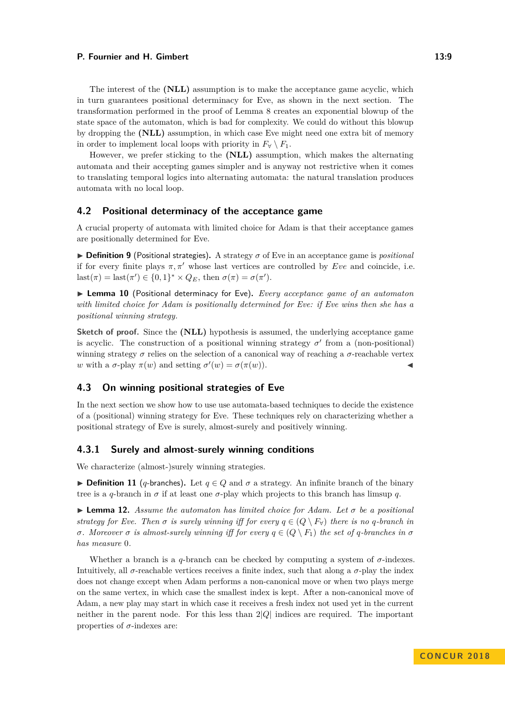The interest of the **(NLL)** assumption is to make the acceptance game acyclic, which in turn guarantees positional determinacy for Eve, as shown in the next section. The transformation performed in the proof of Lemma [8](#page-7-0) creates an exponential blowup of the state space of the automaton, which is bad for complexity. We could do without this blowup by dropping the **(NLL)** assumption, in which case Eve might need one extra bit of memory in order to implement local loops with priority in  $F_\forall \setminus F_1$ .

However, we prefer sticking to the **(NLL)** assumption, which makes the alternating automata and their accepting games simpler and is anyway not restrictive when it comes to translating temporal logics into alternating automata: the natural translation produces automata with no local loop.

# **4.2 Positional determinacy of the acceptance game**

A crucial property of automata with limited choice for Adam is that their acceptance games are positionally determined for Eve.

 $\triangleright$  **Definition 9** (Positional strategies). A strategy  $\sigma$  of Eve in an acceptance game is *positional* if for every finite plays  $\pi, \pi'$  whose last vertices are controlled by *Eve* and coincide, i.e. last $(\pi) =$ last $(\pi') \in \{0, 1\}^* \times Q_E$ , then  $\sigma(\pi) = \sigma(\pi')$ .

<span id="page-8-0"></span>▶ Lemma 10 (Positional determinacy for Eve). *Every acceptance game of an automaton with limited choice for Adam is positionally determined for Eve: if Eve wins then she has a positional winning strategy.*

**Sketch of proof.** Since the **(NLL)** hypothesis is assumed, the underlying acceptance game is acyclic. The construction of a positional winning strategy  $\sigma'$  from a (non-positional) winning strategy  $\sigma$  relies on the selection of a canonical way of reaching a  $\sigma$ -reachable vertex *w* with a *σ*-play  $\pi(w)$  and setting  $\sigma'(w) = \sigma(\pi(w))$ .

# **4.3 On winning positional strategies of Eve**

In the next section we show how to use use automata-based techniques to decide the existence of a (positional) winning strategy for Eve. These techniques rely on characterizing whether a positional strategy of Eve is surely, almost-surely and positively winning.

# **4.3.1 Surely and almost-surely winning conditions**

We characterize (almost-)surely winning strategies.

**► Definition 11** (*q*-branches). Let  $q \in Q$  and  $\sigma$  a strategy. An infinite branch of the binary tree is a *q*-branch in  $\sigma$  if at least one  $\sigma$ -play which projects to this branch has limsup *q*.

<span id="page-8-1"></span> $\triangleright$  **Lemma 12.** *Assume the automaton has limited choice for Adam. Let*  $\sigma$  *be a positional strategy for Eve. Then*  $\sigma$  *is surely winning iff for every*  $q \in (Q \setminus F)$  *there is no q-branch in σ. Moreover σ* is almost-surely winning iff for every  $q \in (Q \setminus F_1)$  the set of *q*-branches in *σ has measure* 0*.*

Whether a branch is a  $q$ -branch can be checked by computing a system of  $\sigma$ -indexes. Intuitively, all  $\sigma$ -reachable vertices receives a finite index, such that along a  $\sigma$ -play the index does not change except when Adam performs a non-canonical move or when two plays merge on the same vertex, in which case the smallest index is kept. After a non-canonical move of Adam, a new play may start in which case it receives a fresh index not used yet in the current neither in the parent node. For this less than 2|*Q*| indices are required. The important properties of  $\sigma$ -indexes are: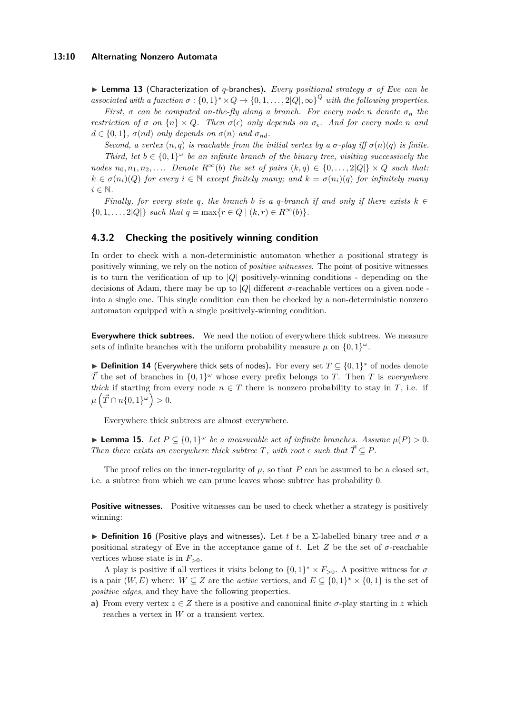<span id="page-9-0"></span>I **Lemma 13** (Characterization of *q*-branches)**.** *Every positional strategy σ of Eve can be associated with a function*  $\sigma : \{0,1\}^* \times Q \to \{0,1,\ldots,2|Q|,\infty\}^Q$  with the following properties.

*First,*  $\sigma$  *can be computed on-the-fly along a branch. For every node n denote*  $\sigma_n$  *the restriction of*  $\sigma$  *on*  $\{n\} \times Q$ *. Then*  $\sigma(\epsilon)$  *only depends on*  $\sigma_{\epsilon}$ *. And for every node n* and  $d \in \{0, 1\}$ ,  $\sigma(nd)$  *only depends on*  $\sigma(n)$  *and*  $\sigma_{nd}$ *.* 

*Second, a vertex*  $(n, q)$  *is reachable from the initial vertex by a*  $σ$ -play *iff*  $σ(n)(q)$  *is finite. Third, let*  $b \in \{0,1\}^\omega$  *be an infinite branch of the binary tree, visiting successively the nodes*  $n_0, n_1, n_2, \ldots$  *Denote*  $R^\infty(b)$  *the set of pairs*  $(k, q) \in \{0, \ldots, 2|Q|\} \times Q$  *such that:*  $k \in \sigma(n_i)(Q)$  *for every*  $i \in \mathbb{N}$  *except finitely many; and*  $k = \sigma(n_i)(q)$  *for infinitely many*  $i \in \mathbb{N}$ .

*Finally, for every state q, the branch b is a q-branch if and only if there exists*  $k \in$  $\{0, 1, \ldots, 2|Q|\}$  *such that*  $q = \max\{r \in Q \mid (k, r) \in R^{\infty}(b)\}.$ 

# **4.3.2 Checking the positively winning condition**

In order to check with a non-deterministic automaton whether a positional strategy is positively winning, we rely on the notion of *positive witnesses*. The point of positive witnesses is to turn the verification of up to |*Q*| positively-winning conditions - depending on the decisions of Adam, there may be up to |*Q*| different *σ*-reachable vertices on a given node into a single one. This single condition can then be checked by a non-deterministic nonzero automaton equipped with a single positively-winning condition.

**Everywhere thick subtrees.** We need the notion of everywhere thick subtrees. We measure sets of infinite branches with the uniform probability measure  $\mu$  on  $\{0,1\}^{\omega}$ .

▶ Definition 14 (Everywhere thick sets of nodes). For every set  $T \subseteq \{0,1\}^*$  of nodes denote  $\vec{T}$  the set of branches in  $\{0,1\}^\omega$  whose every prefix belongs to *T*. Then *T* is *everywhere thick* if starting from every node  $n \in T$  there is nonzero probability to stay in *T*, i.e. if  $\mu\left(\vec{T} \cap n\{0,1\}^{\omega}\right) > 0.$ 

Everywhere thick subtrees are almost everywhere.

**► Lemma 15.** Let  $P \subseteq \{0,1\}^\omega$  be a measurable set of infinite branches. Assume  $\mu(P) > 0$ . *Then there exists an everywhere thick subtree*  $T$ *<i>, with root*  $\epsilon$  *such that*  $\vec{T} \subseteq P$ *.* 

The proof relies on the inner-regularity of  $\mu$ , so that *P* can be assumed to be a closed set, i.e. a subtree from which we can prune leaves whose subtree has probability 0.

**Positive witnesses.** Positive witnesses can be used to check whether a strategy is positively winning:

<span id="page-9-1"></span>**Definition 16** (Positive plays and witnesses). Let *t* be a  $\Sigma$ -labelled binary tree and  $\sigma$  a positional strategy of Eve in the acceptance game of t. Let  $Z$  be the set of  $\sigma$ -reachable vertices whose state is in  $F_{>0}$ .

A play is positive if all vertices it visits belong to  $\{0,1\}^* \times F_{>0}$ . A positive witness for  $\sigma$ is a pair  $(W, E)$  where:  $W \subseteq Z$  are the *active* vertices, and  $E \subseteq \{0,1\}^* \times \{0,1\}$  is the set of *positive edges*, and they have the following properties.

**a)** From every vertex  $z \in Z$  there is a positive and canonical finite  $\sigma$ -play starting in z which reaches a vertex in *W* or a transient vertex.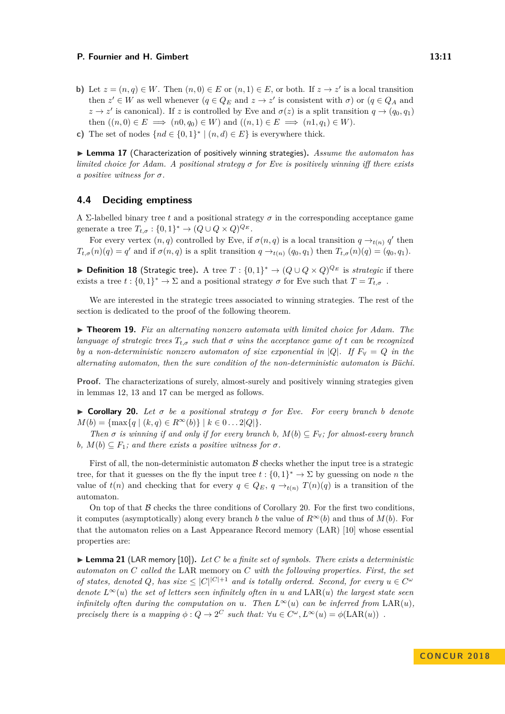- **b)** Let  $z = (n, q) \in W$ . Then  $(n, 0) \in E$  or  $(n, 1) \in E$ , or both. If  $z \to z'$  is a local transition then  $z' \in W$  as well whenever  $(q \in Q_E \text{ and } z \to z' \text{ is consistent with } \sigma)$  or  $(q \in Q_A \text{ and }$  $z \to z'$  is canonical). If *z* is controlled by Eve and  $\sigma(z)$  is a split transition  $q \to (q_0, q_1)$ then  $((n, 0) \in E \implies (n0, q_0) \in W)$  and  $((n, 1) \in E \implies (n1, q_1) \in W)$ .
- **c)** The set of nodes  $\{nd \in \{0,1\}^* \mid (n,d) \in E\}$  is everywhere thick.

<span id="page-10-0"></span>▶ Lemma 17 (Characterization of positively winning strategies). Assume the automaton has *limited choice for Adam. A positional strategy σ for Eve is positively winning iff there exists a positive witness for σ.*

# **4.4 Deciding emptiness**

A Σ-labelled binary tree *t* and a positional strategy  $\sigma$  in the corresponding acceptance game generate a tree  $T_{t,\sigma}: \{0,1\}^* \to (Q \cup Q \times Q)^{Q_E}$ .

For every vertex  $(n, q)$  controlled by Eve, if  $\sigma(n, q)$  is a local transition  $q \rightarrow_{t(n)} q'$  then  $T_{t,\sigma}(n)(q) = q'$  and if  $\sigma(n,q)$  is a split transition  $q \to_{t(n)} (q_0, q_1)$  then  $T_{t,\sigma}(n)(q) = (q_0, q_1)$ .

<span id="page-10-1"></span>▶ **Definition 18** (Strategic tree). A tree  $T : \{0,1\}^* \to (Q \cup Q \times Q)^{Q_E}$  is *strategic* if there exists a tree  $t : \{0,1\}^* \to \Sigma$  and a positional strategy  $\sigma$  for Eve such that  $T = T_{t,\sigma}$ .

We are interested in the strategic trees associated to winning strategies. The rest of the section is dedicated to the proof of the following theorem.

<span id="page-10-2"></span>I **Theorem 19.** *Fix an alternating nonzero automata with limited choice for Adam. The language of strategic trees*  $T_{t,\sigma}$  *such that*  $\sigma$  *wins the acceptance game of*  $t$  *can be recognized by a non-deterministic nonzero automaton of size exponential in* |*Q*|*.* If  $F_\forall = Q$  in the *alternating automaton, then the sure condition of the non-deterministic automaton is Büchi.*

**Proof.** The characterizations of surely, almost-surely and positively winning strategies given in lemmas [12,](#page-8-1) [13](#page-9-0) and [17](#page-10-0) can be merged as follows.

<span id="page-10-3"></span> $\triangleright$  **Corollary 20.** Let  $\sigma$  be a positional strategy  $\sigma$  for Eve. For every branch *b* denote  $M(b) = \{\max\{q \mid (k, q) \in R^{\infty}(b)\}\mid k \in 0...2|Q|\}.$ 

*Then*  $\sigma$  *is winning if and only if for every branch*  $b$ *,*  $M(b) \subseteq F_{\forall}$ *; for almost-every branch*  $b, M(b) \subseteq F_1$ ; and there exists a positive witness for  $\sigma$ .

First of all, the non-deterministic automaton  $\beta$  checks whether the input tree is a strategic tree, for that it guesses on the fly the input tree  $t : \{0,1\}^* \to \Sigma$  by guessing on node *n* the value of  $t(n)$  and checking that for every  $q \in Q_E$ ,  $q \to_{t(n)} T(n)(q)$  is a transition of the automaton.

On top of that  $\beta$  checks the three conditions of Corollary [20.](#page-10-3) For the first two conditions, it computes (asymptotically) along every branch *b* the value of  $R^{\infty}(b)$  and thus of  $M(b)$ . For that the automaton relies on a Last Appearance Record memory (LAR) [\[10\]](#page-15-14) whose essential properties are:

<span id="page-10-4"></span>▶ Lemma 21 (LAR memory [\[10\]](#page-15-14)). Let C be a finite set of symbols. There exists a deterministic *automaton on C called the* LAR memory on *C with the following properties. First, the set of states, denoted Q*, has size  $\leq |C|^{|C|+1}$  *and is totally ordered. Second, for every*  $u \in C^{\omega}$ *denote*  $L^{\infty}(u)$  *the set of letters seen infinitely often in u and*  $\text{LAR}(u)$  *the largest state seen infinitely often during the computation on u. Then*  $L^{\infty}(u)$  *can be inferred from*  $\text{LAR}(u)$ *, precisely there is a mapping*  $\phi: Q \to 2^C$  *such that:*  $\forall u \in C^\omega, L^\infty(u) = \phi(LAR(u))$ .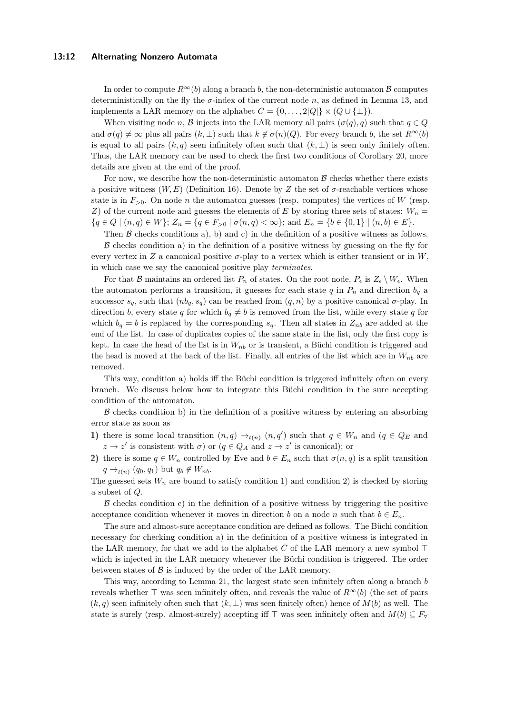### **13:12 Alternating Nonzero Automata**

In order to compute  $R^{\infty}(b)$  along a branch *b*, the non-deterministic automaton B computes deterministically on the fly the  $\sigma$ -index of the current node  $n$ , as defined in Lemma [13,](#page-9-0) and implements a LAR memory on the alphabet  $C = \{0, \ldots, 2|Q|\} \times (Q \cup \{\perp\}).$ 

When visiting node *n*, B injects into the LAR memory all pairs  $(\sigma(q), q)$  such that  $q \in Q$ and  $\sigma(q) \neq \infty$  plus all pairs  $(k, \perp)$  such that  $k \notin \sigma(n)(Q)$ . For every branch *b*, the set  $R^{\infty}(b)$ is equal to all pairs  $(k, q)$  seen infinitely often such that  $(k, \perp)$  is seen only finitely often. Thus, the LAR memory can be used to check the first two conditions of Corollary [20,](#page-10-3) more details are given at the end of the proof.

For now, we describe how the non-deterministic automaton  $\beta$  checks whether there exists a positive witness  $(W, E)$  (Definition [16\)](#page-9-1). Denote by *Z* the set of *σ*-reachable vertices whose state is in  $F_{>0}$ . On node *n* the automaton guesses (resp. computes) the vertices of *W* (resp. *Z*) of the current node and guesses the elements of *E* by storing three sets of states:  $W_n =$  ${q \in Q \mid (n,q) \in W}$ ;  $Z_n = {q \in F_{>0} \mid \sigma(n,q) < \infty}$ ; and  $E_n = {b \in \{0,1\} \mid (n,b) \in E}$ .

Then  $\beta$  checks conditions a), b) and c) in the definition of a positive witness as follows.  $\beta$  checks condition a) in the definition of a positive witness by guessing on the fly for every vertex in  $Z$  a canonical positive  $\sigma$ -play to a vertex which is either transient or in  $W$ . in which case we say the canonical positive play *terminates*.

For that B maintains an ordered list  $P_n$  of states. On the root node,  $P_{\epsilon}$  is  $Z_{\epsilon} \setminus W_{\epsilon}$ . When the automaton performs a transition, it guesses for each state  $q$  in  $P_n$  and direction  $b_q$  a successor *s<sub>q</sub>*, such that  $(nb<sub>q</sub>, s<sub>q</sub>)$  can be reached from  $(q, n)$  by a positive canonical *σ*-play. In direction *b*, every state *q* for which  $b_q \neq b$  is removed from the list, while every state *q* for which  $b_q = b$  is replaced by the corresponding  $s_q$ . Then all states in  $Z_{nb}$  are added at the end of the list. In case of duplicates copies of the same state in the list, only the first copy is kept. In case the head of the list is in *Wnb* or is transient, a Büchi condition is triggered and the head is moved at the back of the list. Finally, all entries of the list which are in  $W_{nb}$  are removed.

This way, condition a) holds iff the Büchi condition is triggered infinitely often on every branch. We discuss below how to integrate this Büchi condition in the sure accepting condition of the automaton.

 $\beta$  checks condition b) in the definition of a positive witness by entering an absorbing error state as soon as

- **1)** there is some local transition  $(n,q) \rightarrow_{t(n)} (n,q')$  such that  $q \in W_n$  and  $(q \in Q_E$  and  $z \to z'$  is consistent with  $\sigma$ ) or  $(q \in Q_A \text{ and } z \to z' \text{ is canonical});$  or
- **2)** there is some  $q \in W_n$  controlled by Eve and  $b \in E_n$  such that  $\sigma(n,q)$  is a split transition  $q \rightarrow_{t(n)} (q_0, q_1)$  but  $q_b \notin W_{nb}$ .

The guessed sets  $W_n$  are bound to satisfy condition 1) and condition 2) is checked by storing a subset of *Q*.

 $\beta$  checks condition c) in the definition of a positive witness by triggering the positive acceptance condition whenever it moves in direction *b* on a node *n* such that  $b \in E_n$ .

The sure and almost-sure acceptance condition are defined as follows. The Büchi condition necessary for checking condition a) in the definition of a positive witness is integrated in the LAR memory, for that we add to the alphabet  $C$  of the LAR memory a new symbol  $\top$ which is injected in the LAR memory whenever the Büchi condition is triggered. The order between states of  $\beta$  is induced by the order of the LAR memory.

This way, according to Lemma [21,](#page-10-4) the largest state seen infinitely often along a branch *b* reveals whether  $\top$  was seen infinitely often, and reveals the value of  $R^{\infty}(b)$  (the set of pairs  $(k, q)$  seen infinitely often such that  $(k, \perp)$  was seen finitely often) hence of  $M(b)$  as well. The state is surely (resp. almost-surely) accepting iff  $\top$  was seen infinitely often and  $M(b) \subseteq F_{\forall}$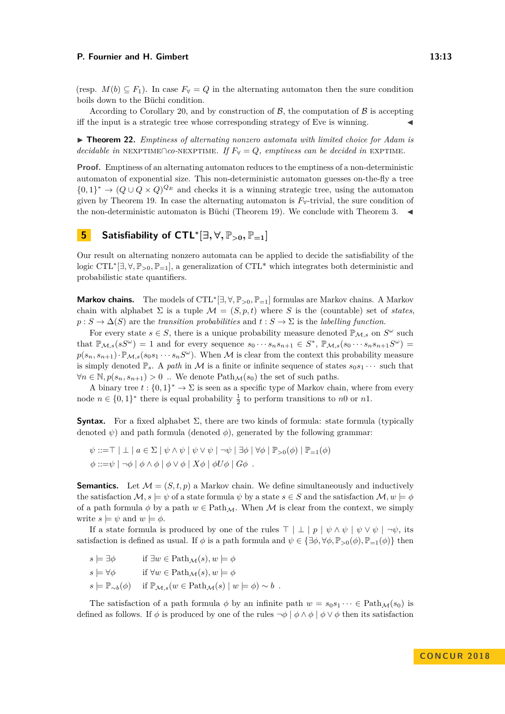(resp.  $M(b) \subseteq F_1$ ). In case  $F_\forall = Q$  in the alternating automaton then the sure condition boils down to the Büchi condition.

According to Corollary [20,](#page-10-3) and by construction of  $\beta$ , the computation of  $\beta$  is accepting iff the input is a strategic tree whose corresponding strategy of Eve is winning.

<span id="page-12-0"></span>► **Theorem 22.** *Emptiness of alternating nonzero automata with limited choice for Adam is decidable in* NEXPTIME∩*co*-NEXPTIME*.* If  $F_\forall = Q$ *, emptiness can be decided in* EXPTIME.

**Proof.** Emptiness of an alternating automaton reduces to the emptiness of a non-deterministic automaton of exponential size. This non-deterministic automaton guesses on-the-fly a tree  $\{0,1\}^* \to (Q \cup Q \times Q)^{Q_E}$  and checks it is a winning strategic tree, using the automaton given by Theorem [19.](#page-10-2) In case the alternating automaton is  $F_{\forall}$ -trivial, the sure condition of the non-deterministic automaton is Büchi (Theorem [19\)](#page-10-2). We conclude with Theorem [3.](#page-5-0)  $\blacktriangleleft$ 

# **5 Satisfiability of**  $\text{CTL}^*[\exists, \forall, \mathbb{P}_{>0}, \mathbb{P}_{=1}]$

Our result on alternating nonzero automata can be applied to decide the satisfiability of the logic CTL<sup>\*</sup>[∃,∀, P<sub>>0</sub>, P<sub>=1</sub>], a generalization of CTL<sup>\*</sup> which integrates both deterministic and probabilistic state quantifiers.

**Markov chains.** The models of CTL<sup>∗</sup> [∃*,* ∀*,* P*>*0*,* P=1] formulas are Markov chains. A Markov chain with alphabet  $\Sigma$  is a tuple  $\mathcal{M} = (S, p, t)$  where *S* is the (countable) set of *states*,  $p: S \to \Delta(S)$  are the *transition probabilities* and  $t: S \to \Sigma$  is the *labelling function*.

For every state  $s \in S$ , there is a unique probability measure denoted  $\mathbb{P}_{\mathcal{M},s}$  on  $S^{\omega}$  such that  $\mathbb{P}_{\mathcal{M},s}(sS^{\omega}) = 1$  and for every sequence  $s_0 \cdots s_n s_{n+1} \in S^*$ ,  $\mathbb{P}_{\mathcal{M},s}(s_0 \cdots s_n s_{n+1} S^{\omega}) =$  $p(s_n, s_{n+1}) \cdot \mathbb{P}_{\mathcal{M},s}(s_0s_1 \cdots s_n S^{\omega})$ . When M is clear from the context this probability measure is simply denoted  $\mathbb{P}_s$ . A *path* in M is a finite or infinite sequence of states  $s_0s_1 \cdots$  such that  $∀n ∈ ℕ, p(s_n, s_{n+1}) > 0$ .. We denote Path<sub>M</sub>(*s*<sub>0</sub>) the set of such paths.

A binary tree  $t: \{0,1\}^* \to \Sigma$  is seen as a specific type of Markov chain, where from every node  $n \in \{0,1\}^*$  there is equal probability  $\frac{1}{2}$  to perform transitions to *n*0 or *n*1.

**Syntax.** For a fixed alphabet  $\Sigma$ , there are two kinds of formula: state formula (typically denoted  $\psi$ ) and path formula (denoted  $\phi$ ), generated by the following grammar:

 $\psi ::= \top \perp a \in \Sigma \mid \psi \wedge \psi \mid \psi \vee \psi \mid \neg \psi \mid \exists \phi \mid \forall \phi \mid \mathbb{P}_{\geq 0}(\phi) \mid \mathbb{P}_{=1}(\phi)$  $\phi ::= ψ | ¬φ | ∅ ∧ φ | ∅ ∨ φ | Xφ | ∅ Uφ | Gφ$ .

**Semantics.** Let  $\mathcal{M} = (S, t, p)$  a Markov chain. We define simultaneously and inductively the satisfaction  $\mathcal{M}, s \models \psi$  of a state formula  $\psi$  by a state  $s \in S$  and the satisfaction  $\mathcal{M}, w \models \phi$ of a path formula  $\phi$  by a path  $w \in \text{Path}_{\mathcal{M}}$ . When M is clear from the context, we simply write  $s \models \psi$  and  $w \models \phi$ .

If a state formula is produced by one of the rules  $\top \perp \perp p \mid \psi \wedge \psi \mid \psi \vee \psi \mid \neg \psi$ , its satisfaction is defined as usual. If  $\phi$  is a path formula and  $\psi \in {\exists \phi, \forall \phi, \mathbb{P}_{>0}(\phi), \mathbb{P}_{=1}(\phi)}$  then

 $s \models \exists \phi$  if  $\exists w \in \text{Path}_{\mathcal{M}}(s), w \models \phi$  $s \models \forall \phi$  if  $\forall w \in \text{Path}_{\mathcal{M}}(s), w \models \phi$  $s \models \mathbb{P}_{\sim b}(\phi)$  if  $\mathbb{P}_{\mathcal{M},s}(w \in \text{Path}_{\mathcal{M}}(s) \mid w \models \phi) \sim b$ .

The satisfaction of a path formula  $\phi$  by an infinite path  $w = s_0 s_1 \cdots \in \text{Path}_{\mathcal{M}}(s_0)$  is defined as follows. If  $\phi$  is produced by one of the rules  $\neg \phi \mid \phi \land \phi \mid \phi \lor \phi$  then its satisfaction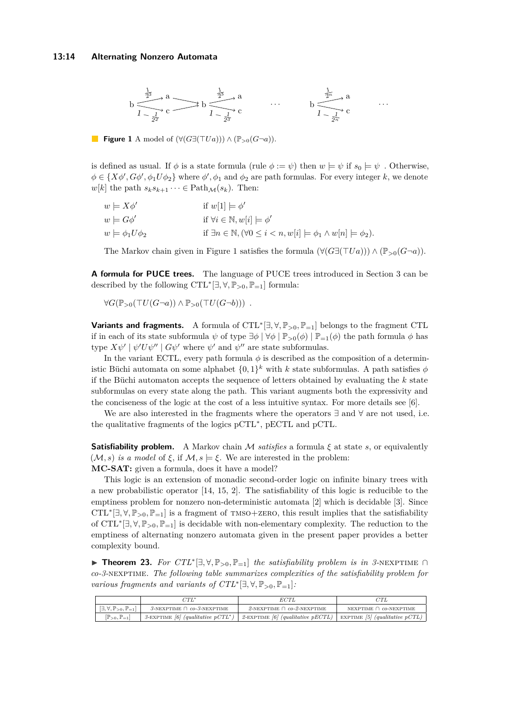### **13:14 Alternating Nonzero Automata**

<span id="page-13-1"></span>

**Figure 1** A model of  $(\forall (G\exists(\top Ua))) \wedge (\mathbb{P}_{>0}(G\neg a)).$ 

is defined as usual. If  $\phi$  is a state formula (rule  $\phi := \psi$ ) then  $w \models \psi$  if  $s_0 \models \psi$ . Otherwise,  $\phi \in \{X\phi', G\phi', \phi_1 U\phi_2\}$  where  $\phi', \phi_1$  and  $\phi_2$  are path formulas. For every integer *k*, we denote  $w[k]$  the path  $s_k s_{k+1} \cdots \in \text{Path}_{\mathcal{M}}(s_k)$ . Then:

| $w \models X\phi'$          | if $w[1] \models \phi'$                                                                               |
|-----------------------------|-------------------------------------------------------------------------------------------------------|
| $w \models G\phi'$          | if $\forall i \in \mathbb{N}, w[i] \models \phi'$                                                     |
| $w \models \phi_1 U \phi_2$ | if $\exists n \in \mathbb{N}, (\forall 0 \leq i < n, w[i] \models \phi_1 \land w[n] \models \phi_2).$ |

The Markov chain given in Figure [1](#page-13-1) satisfies the formula  $(\forall (G\exists (TUa))) \land (\mathbb{P}_{>0}(G\neg a)).$ 

**A formula for PUCE trees.** The language of PUCE trees introduced in Section [3](#page-5-1) can be described by the following  $\mathrm{CTL}^*[\exists, \forall, \mathbb{P}_{>0}, \mathbb{P}_{=1}]$  formula:

$$
\forall G(\mathbb{P}_{>0}(\top U(G\neg a)) \wedge \mathbb{P}_{>0}(\top U(G\neg b))) .
$$

**Variants and fragments.** A formula of CTL<sup>∗</sup> [∃*,* ∀*,* P*>*0*,* P=1] belongs to the fragment CTL if in each of its state subformula  $\psi$  of type  $\exists \phi \mid \forall \phi \mid \mathbb{P}_{>0}(\phi) \mid \mathbb{P}_{=1}(\phi)$  the path formula  $\phi$  has type  $X\psi' \mid \psi' U \psi'' \mid G\psi'$  where  $\psi'$  and  $\psi''$  are state subformulas.

In the variant ECTL, every path formula  $\phi$  is described as the composition of a deterministic Büchi automata on some alphabet  $\{0,1\}^k$  with *k* state subformulas. A path satisfies  $\phi$ if the Büchi automaton accepts the sequence of letters obtained by evaluating the *k* state subformulas on every state along the path. This variant augments both the expressivity and the conciseness of the logic at the cost of a less intuitive syntax. For more details see [\[6\]](#page-15-2).

We are also interested in the fragments where the operators  $\exists$  and  $\forall$  are not used, i.e. the qualitative fragments of the logics pCTL<sup>∗</sup> , pECTL and pCTL.

**Satisfiability problem.** A Markov chain M *satisfies* a formula  $\xi$  at state  $s$ , or equivalently (*M*, *s*) *is a model* of *ξ*, if *M*, *s*  $\models$  *ξ*. We are interested in the problem: **MC-SAT:** given a formula, does it have a model?

This logic is an extension of monadic second-order logic on infinite binary trees with a new probabilistic operator [\[14,](#page-15-3) [15,](#page-15-4) [2\]](#page-14-0). The satisfiability of this logic is reducible to the emptiness problem for nonzero non-deterministic automata [\[2\]](#page-14-0) which is decidable [\[3\]](#page-14-2). Since  $CTL^*[\exists, \forall, \mathbb{P}_{>0}, \mathbb{P}_{=1}]$  is a fragment of TMSO+ZERO, this result implies that the satisfiability of CTL<sup>∗</sup> [∃*,* ∀*,* P*<sup>&</sup>gt;*0*,* P=1] is decidable with non-elementary complexity. The reduction to the emptiness of alternating nonzero automata given in the present paper provides a better complexity bound.

<span id="page-13-0"></span>I **Theorem 23.** *For CTL*<sup>∗</sup> [∃*,* ∀*,* P*<sup>&</sup>gt;*0*,* P=1] *the satisfiability problem is in 3-*nexptime ∩ *co-3-*nexptime*. The following table summarizes complexities of the satisfiability problem for various fragments and variants of*  $CTL^*[\exists, \forall, \mathbb{P}_{>0}, \mathbb{P}_{=1}].$ 

|  |                                                        |                                                    | ECTL                                                                                                   |                                |
|--|--------------------------------------------------------|----------------------------------------------------|--------------------------------------------------------------------------------------------------------|--------------------------------|
|  | $[\exists, \forall, \mathbb{P}_{>0}, \mathbb{P}_{=1}]$ | $\beta$ -NEXPTIME $\bigcap co$ - $\beta$ -NEXPTIME | 2-NEXPTIME $\bigcap co-2$ -NEXPTIME                                                                    | NEXPTIME $\bigcap$ co-NEXPTIME |
|  | $[\mathbb{P}_{>0}, \mathbb{P}_{=1}]$                   |                                                    | 3-EXPTIME [6] (qualitative pCTL*)   2-EXPTIME [6] (qualitative pECTL)   EXPTIME [5] (qualitative pCTL) |                                |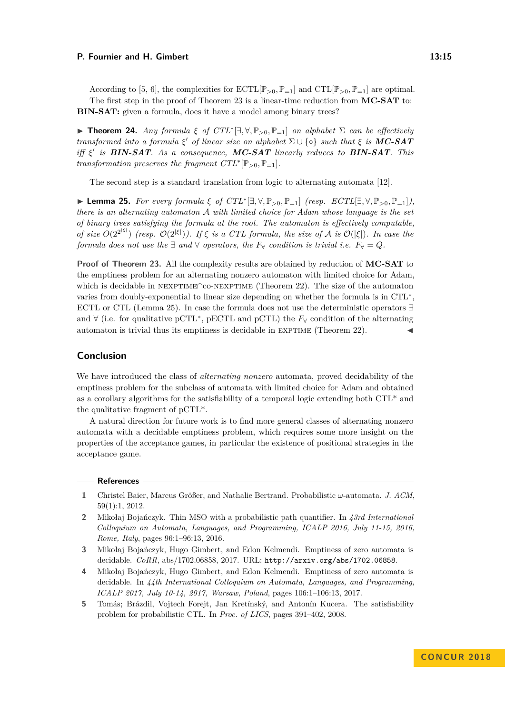According to [\[5,](#page-14-4) [6\]](#page-15-2), the complexities for  $\text{ECTL}[\mathbb{P}_{>0}, \mathbb{P}_{=1}]$  and  $\text{CTL}[\mathbb{P}_{>0}, \mathbb{P}_{=1}]$  are optimal. The first step in the proof of Theorem [23](#page-13-0) is a linear-time reduction from **MC-SAT** to: **BIN-SAT:** given a formula, does it have a model among binary trees?

<span id="page-14-3"></span> $\blacktriangleright$  **Theorem 24.** *Any formula ξ of CTL*<sup>∗</sup>[ $\exists$ ,  $\forall$ ,  $\mathbb{P}_{>0}$ ,  $\mathbb{P}_{=1}$ ] *on alphabet*  $\Sigma$  *can be effectively transformed into a formula*  $\xi'$  *of linear size on alphabet*  $\Sigma \cup \{ \circ \}$  *such that*  $\xi$  *is* **MC-SAT** *iff ξ* 0 *is BIN-SAT. As a consequence, MC-SAT linearly reduces to BIN-SAT. This transformation preserves the fragment*  $CTL^*[\mathbb{P}_{>0}, \mathbb{P}_{=1}]$ *.* 

The second step is a standard translation from logic to alternating automata [\[12\]](#page-15-13).

<span id="page-14-6"></span>I **Lemma 25.** *For every formula ξ of CTL*<sup>∗</sup> [∃*,* ∀*,* P*>*0*,* P=1] *(resp. ECTL*[∃*,* ∀*,* P*>*0*,* P=1]*), there is an alternating automaton* A *with limited choice for Adam whose language is the set of binary trees satisfying the formula at the root. The automaton is effectively computable, of size*  $O(2^{2^{|\xi|}})$  (resp.  $O(2^{|\xi|})$ ). If  $\xi$  is a CTL formula, the size of A is  $O(|\xi|)$ . In case the *formula does not use the*  $\exists$  *and*  $\forall$  *operators, the*  $F_{\forall}$  *condition is trivial i.e.*  $F_{\forall} = Q$ *.* 

**Proof of Theorem [23.](#page-13-0)** All the complexity results are obtained by reduction of **MC-SAT** to the emptiness problem for an alternating nonzero automaton with limited choice for Adam, which is decidable in nexptime∩co-nexptime (Theorem [22\)](#page-12-0). The size of the automaton varies from doubly-exponential to linear size depending on whether the formula is in CTL<sup>\*</sup>, ECTL or CTL (Lemma [25\)](#page-14-6). In case the formula does not use the deterministic operators ∃ and ∀ (i.e. for qualitative pCTL<sup>∗</sup> , pECTL and pCTL) the *F*<sup>∀</sup> condition of the alternating automaton is trivial thus its emptiness is decidable in  $EXPTIME$  (Theorem [22\)](#page-12-0).

# **Conclusion**

We have introduced the class of *alternating nonzero* automata, proved decidability of the emptiness problem for the subclass of automata with limited choice for Adam and obtained as a corollary algorithms for the satisfiability of a temporal logic extending both CTL\* and the qualitative fragment of pCTL\*.

A natural direction for future work is to find more general classes of alternating nonzero automata with a decidable emptiness problem, which requires some more insight on the properties of the acceptance games, in particular the existence of positional strategies in the acceptance game.

#### **References**

- <span id="page-14-1"></span>**1** Christel Baier, Marcus Größer, and Nathalie Bertrand. Probabilistic *ω*-automata. *J. ACM*, 59(1):1, 2012.
- <span id="page-14-0"></span>**2** Mikołaj Bojańczyk. Thin MSO with a probabilistic path quantifier. In *43rd International Colloquium on Automata, Languages, and Programming, ICALP 2016, July 11-15, 2016, Rome, Italy*, pages 96:1–96:13, 2016.
- <span id="page-14-2"></span>**3** Mikołaj Bojańczyk, Hugo Gimbert, and Edon Kelmendi. Emptiness of zero automata is decidable. *CoRR*, abs/1702.06858, 2017. URL: <http://arxiv.org/abs/1702.06858>.
- <span id="page-14-5"></span>**4** Mikołaj Bojańczyk, Hugo Gimbert, and Edon Kelmendi. Emptiness of zero automata is decidable. In *44th International Colloquium on Automata, Languages, and Programming, ICALP 2017, July 10-14, 2017, Warsaw, Poland*, pages 106:1–106:13, 2017.
- <span id="page-14-4"></span>**5** Tomás; Brázdil, Vojtech Forejt, Jan Kretínský, and Antonín Kucera. The satisfiability problem for probabilistic CTL. In *Proc. of LICS*, pages 391–402, 2008.